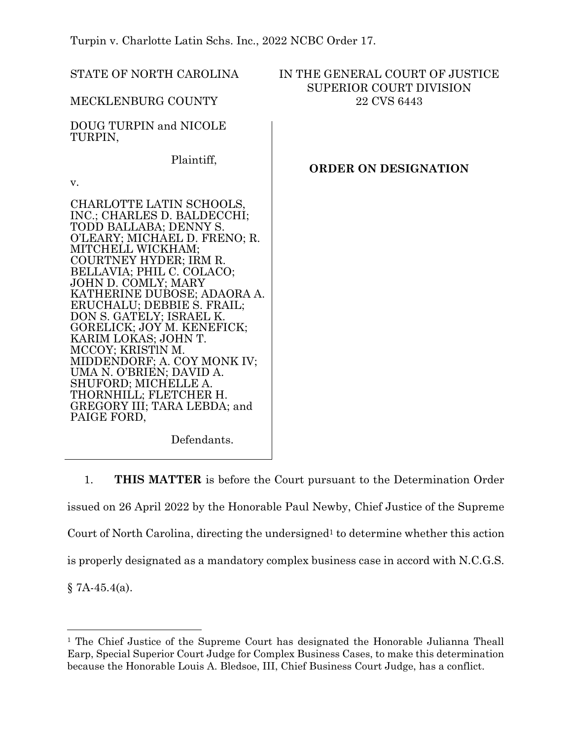Turpin v. Charlotte Latin Schs. Inc., 2022 NCBC Order 17.

| STATE OF NORTH CAROLINA                                                                                                                                                                                                                                                                                                                                                                                                                                                                                                                               | IN THE GENERAL COURT OF JUSTICE<br><b>SUPERIOR COURT DIVISION</b><br>22 CVS 6443 |
|-------------------------------------------------------------------------------------------------------------------------------------------------------------------------------------------------------------------------------------------------------------------------------------------------------------------------------------------------------------------------------------------------------------------------------------------------------------------------------------------------------------------------------------------------------|----------------------------------------------------------------------------------|
| MECKLENBURG COUNTY                                                                                                                                                                                                                                                                                                                                                                                                                                                                                                                                    |                                                                                  |
| DOUG TURPIN and NICOLE<br>TURPIN,                                                                                                                                                                                                                                                                                                                                                                                                                                                                                                                     |                                                                                  |
| Plaintiff,                                                                                                                                                                                                                                                                                                                                                                                                                                                                                                                                            | <b>ORDER ON DESIGNATION</b>                                                      |
| V.                                                                                                                                                                                                                                                                                                                                                                                                                                                                                                                                                    |                                                                                  |
| CHARLOTTE LATIN SCHOOLS,<br>INC.; CHARLES D. BALDECCHI;<br>TODD BALLABA; DENNY S.<br>O'LEARY; MICHAEL D. FRENO; R.<br>MITCHELL WICKHAM;<br>COURTNEY HYDER; IRM R.<br>BELLAVIA; PHIL C. COLACO;<br>JOHN D. COMLY; MARY<br>KATHERINE DUBOSE; ADAORA A.<br>ERUCHALU; DEBBIE S. FRAIL;<br>DON S. GATELY; ISRAEL K.<br>GORELICK; JOY M. KENEFICK;<br>KARIM LOKAS; JOHN T.<br>MCCOY; KRISTIN M.<br>MIDDENDORF; A. COY MONK IV;<br>UMA N. O'BRIEN; DAVID A.<br>SHUFORD; MICHELLE A.<br>THORNHILL; FLETCHER H.<br>GREGORY III; TARA LEBDA; and<br>PAIGE FORD, |                                                                                  |
| Defendants.                                                                                                                                                                                                                                                                                                                                                                                                                                                                                                                                           |                                                                                  |

1. **THIS MATTER** is before the Court pursuant to the Determination Order issued on 26 April 2022 by the Honorable Paul Newby, Chief Justice of the Supreme Court of North Carolina, directing the undersigned<sup>1</sup> to determine whether this action is properly designated as a mandatory complex business case in accord with N.C.G.S.  $§ 7A-45.4(a).$ 

<sup>&</sup>lt;sup>1</sup> The Chief Justice of the Supreme Court has designated the Honorable Julianna Theall Earp, Special Superior Court Judge for Complex Business Cases, to make this determination because the Honorable Louis A. Bledsoe, III, Chief Business Court Judge, has a conflict.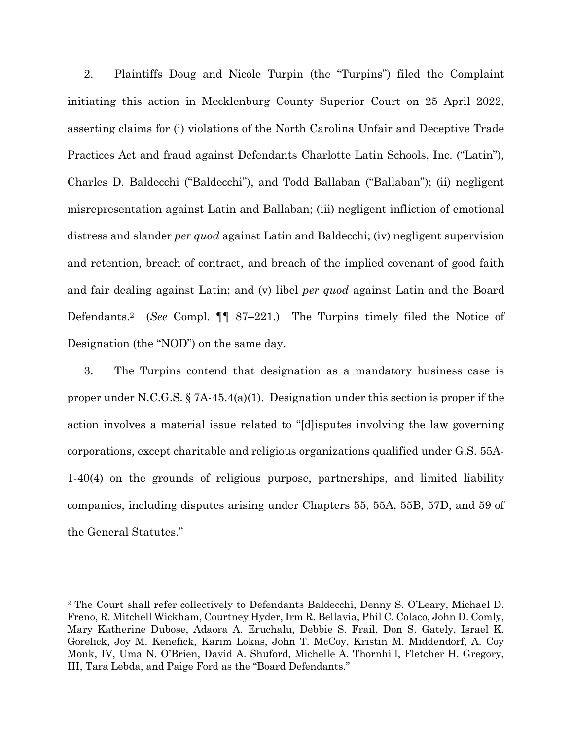2. Plaintiffs Doug and Nicole Turpin (the "Turpins") filed the Complaint initiating this action in Mecklenburg County Superior Court on 25 April 2022, asserting claims for (i) violations of the North Carolina Unfair and Deceptive Trade Practices Act and fraud against Defendants Charlotte Latin Schools, Inc. ("Latin"), Charles D. Baldecchi ("Baldecchi"), and Todd Ballaban ("Ballaban"); (ii) negligent misrepresentation against Latin and Ballaban; (iii) negligent infliction of emotional distress and slander *per quod* against Latin and Baldecchi; (iv) negligent supervision and retention, breach of contract, and breach of the implied covenant of good faith and fair dealing against Latin; and (v) libel *per quod* against Latin and the Board Defendants. <sup>2</sup> (*See* Compl. ¶¶ 87–221.) The Turpins timely filed the Notice of Designation (the "NOD") on the same day.

3. The Turpins contend that designation as a mandatory business case is proper under N.C.G.S.  $\S 7A-45.4(a)(1)$ . Designation under this section is proper if the action involves a material issue related to "[d]isputes involving the law governing corporations, except charitable and religious organizations qualified under G.S. 55A-1-40(4) on the grounds of religious purpose, partnerships, and limited liability companies, including disputes arising under Chapters 55, 55A, 55B, 57D, and 59 of the General Statutes."

<sup>2</sup> The Court shall refer collectively to Defendants Baldecchi, Denny S. O'Leary, Michael D. Freno, R. Mitchell Wickham, Courtney Hyder, Irm R. Bellavia, Phil C. Colaco, John D. Comly, Mary Katherine Dubose, Adaora A. Eruchalu, Debbie S. Frail, Don S. Gately, Israel K. Gorelick, Joy M. Kenefick, Karim Lokas, John T. McCoy, Kristin M. Middendorf, A. Coy Monk, IV, Uma N. O'Brien, David A. Shuford, Michelle A. Thornhill, Fletcher H. Gregory, III, Tara Lebda, and Paige Ford as the "Board Defendants."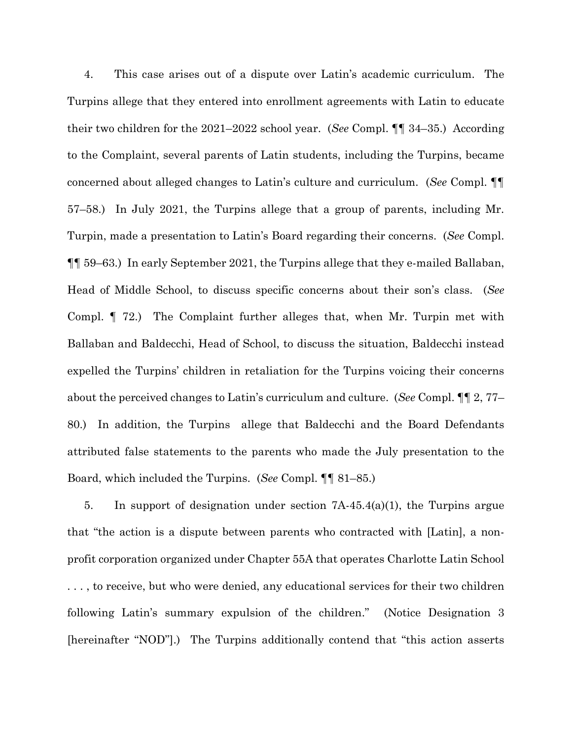4. This case arises out of a dispute over Latin's academic curriculum. The Turpins allege that they entered into enrollment agreements with Latin to educate their two children for the 2021–2022 school year. (*See* Compl. ¶¶ 34–35.) According to the Complaint, several parents of Latin students, including the Turpins, became concerned about alleged changes to Latin's culture and curriculum. (*See* Compl. ¶¶ 57–58.) In July 2021, the Turpins allege that a group of parents, including Mr. Turpin, made a presentation to Latin's Board regarding their concerns. (*See* Compl. ¶¶ 59–63.) In early September 2021, the Turpins allege that they e-mailed Ballaban, Head of Middle School, to discuss specific concerns about their son's class. (*See* Compl. ¶ 72.) The Complaint further alleges that, when Mr. Turpin met with Ballaban and Baldecchi, Head of School, to discuss the situation, Baldecchi instead expelled the Turpins' children in retaliation for the Turpins voicing their concerns about the perceived changes to Latin's curriculum and culture. (*See* Compl. ¶¶ 2, 77– 80.) In addition, the Turpins allege that Baldecchi and the Board Defendants attributed false statements to the parents who made the July presentation to the Board, which included the Turpins. (*See* Compl. ¶¶ 81–85.)

5. In support of designation under section 7A-45.4(a)(1), the Turpins argue that "the action is a dispute between parents who contracted with [Latin], a nonprofit corporation organized under Chapter 55A that operates Charlotte Latin School . . . , to receive, but who were denied, any educational services for their two children following Latin's summary expulsion of the children." (Notice Designation 3 [hereinafter "NOD"].) The Turpins additionally contend that "this action asserts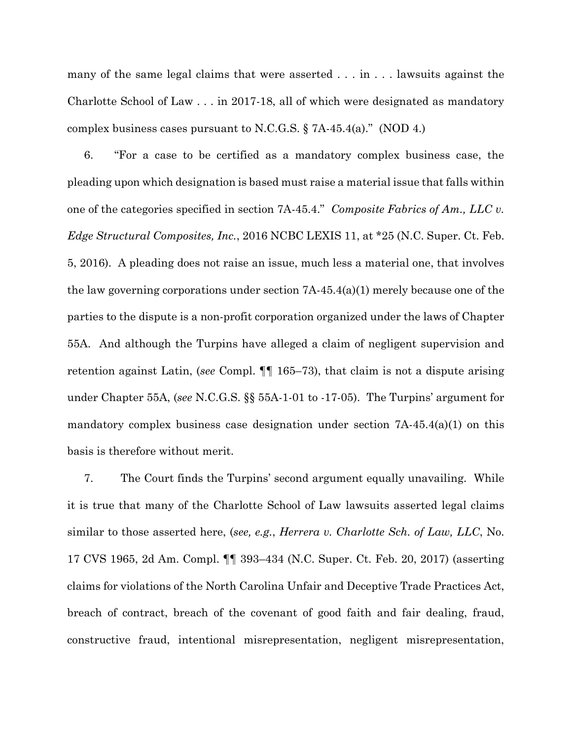many of the same legal claims that were asserted . . . in . . . lawsuits against the Charlotte School of Law . . . in 2017-18, all of which were designated as mandatory complex business cases pursuant to N.C.G.S. § 7A-45.4(a)." (NOD 4.)

6. "For a case to be certified as a mandatory complex business case, the pleading upon which designation is based must raise a material issue that falls within one of the categories specified in section 7A-45.4." *Composite Fabrics of Am., LLC v. Edge Structural Composites, Inc.*, 2016 NCBC LEXIS 11, at \*25 (N.C. Super. Ct. Feb. 5, 2016). A pleading does not raise an issue, much less a material one, that involves the law governing corporations under section  $7A-45.4(a)(1)$  merely because one of the parties to the dispute is a non-profit corporation organized under the laws of Chapter 55A. And although the Turpins have alleged a claim of negligent supervision and retention against Latin, (*see* Compl. ¶¶ 165–73), that claim is not a dispute arising under Chapter 55A, (*see* N.C.G.S. §§ 55A-1-01 to -17-05). The Turpins' argument for mandatory complex business case designation under section  $7A-45.4(a)(1)$  on this basis is therefore without merit.

7. The Court finds the Turpins' second argument equally unavailing. While it is true that many of the Charlotte School of Law lawsuits asserted legal claims similar to those asserted here, (*see, e.g.*, *Herrera v. Charlotte Sch. of Law, LLC*, No. 17 CVS 1965, 2d Am. Compl. ¶¶ 393–434 (N.C. Super. Ct. Feb. 20, 2017) (asserting claims for violations of the North Carolina Unfair and Deceptive Trade Practices Act, breach of contract, breach of the covenant of good faith and fair dealing, fraud, constructive fraud, intentional misrepresentation, negligent misrepresentation,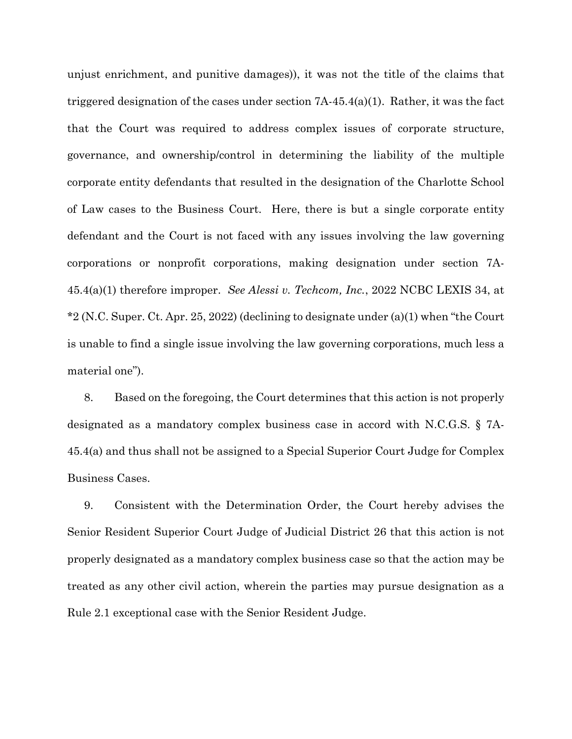unjust enrichment, and punitive damages)), it was not the title of the claims that triggered designation of the cases under section 7A-45.4(a)(1). Rather, it was the fact that the Court was required to address complex issues of corporate structure, governance, and ownership/control in determining the liability of the multiple corporate entity defendants that resulted in the designation of the Charlotte School of Law cases to the Business Court. Here, there is but a single corporate entity defendant and the Court is not faced with any issues involving the law governing corporations or nonprofit corporations, making designation under section 7A-45.4(a)(1) therefore improper. *See Alessi v. Techcom, Inc.*, 2022 NCBC LEXIS 34, at \*2 (N.C. Super. Ct. Apr. 25, 2022) (declining to designate under (a)(1) when "the Court is unable to find a single issue involving the law governing corporations, much less a material one").

8. Based on the foregoing, the Court determines that this action is not properly designated as a mandatory complex business case in accord with N.C.G.S. § 7A-45.4(a) and thus shall not be assigned to a Special Superior Court Judge for Complex Business Cases.

9. Consistent with the Determination Order, the Court hereby advises the Senior Resident Superior Court Judge of Judicial District 26 that this action is not properly designated as a mandatory complex business case so that the action may be treated as any other civil action, wherein the parties may pursue designation as a Rule 2.1 exceptional case with the Senior Resident Judge.